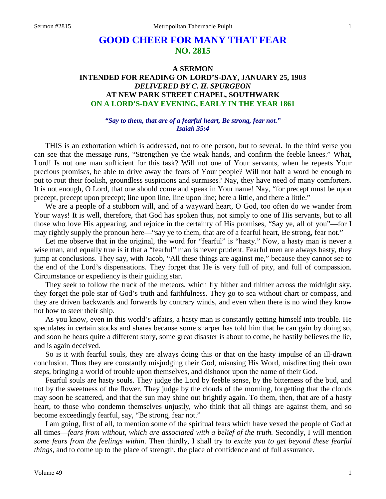# **GOOD CHEER FOR MANY THAT FEAR NO. 2815**

# **A SERMON INTENDED FOR READING ON LORD'S-DAY, JANUARY 25, 1903** *DELIVERED BY C. H. SPURGEON* **AT NEW PARK STREET CHAPEL, SOUTHWARK ON A LORD'S-DAY EVENING, EARLY IN THE YEAR 1861**

#### *"Say to them, that are of a fearful heart, Be strong, fear not." Isaiah 35:4*

THIS is an exhortation which is addressed, not to one person, but to several. In the third verse you can see that the message runs, "Strengthen ye the weak hands, and confirm the feeble knees." What, Lord! Is not one man sufficient for this task? Will not one of Your servants, when he repeats Your precious promises, be able to drive away the fears of Your people? Will not half a word be enough to put to rout their foolish, groundless suspicions and surmises? Nay, they have need of many comforters. It is not enough, O Lord, that one should come and speak in Your name! Nay, "for precept must be upon precept, precept upon precept; line upon line, line upon line; here a little, and there a little."

We are a people of a stubborn will, and of a wayward heart, O God, too often do we wander from Your ways! It is well, therefore, that God has spoken thus, not simply to one of His servants, but to all those who love His appearing, and rejoice in the certainty of His promises, "Say ye, all of you"—for I may rightly supply the pronoun here—"say ye to them, that are of a fearful heart, Be strong, fear not."

Let me observe that in the original, the word for "fearful" is "hasty." Now, a hasty man is never a wise man, and equally true is it that a "fearful" man is never prudent. Fearful men are always hasty, they jump at conclusions. They say, with Jacob, "All these things are against me," because they cannot see to the end of the Lord's dispensations. They forget that He is very full of pity, and full of compassion. Circumstance or expediency is their guiding star.

They seek to follow the track of the meteors, which fly hither and thither across the midnight sky, they forget the pole star of God's truth and faithfulness. They go to sea without chart or compass, and they are driven backwards and forwards by contrary winds, and even when there is no wind they know not how to steer their ship.

As you know, even in this world's affairs, a hasty man is constantly getting himself into trouble. He speculates in certain stocks and shares because some sharper has told him that he can gain by doing so, and soon he hears quite a different story, some great disaster is about to come, he hastily believes the lie, and is again deceived.

So is it with fearful souls, they are always doing this or that on the hasty impulse of an ill-drawn conclusion. Thus they are constantly misjudging their God, misusing His Word, misdirecting their own steps, bringing a world of trouble upon themselves, and dishonor upon the name of their God.

Fearful souls are hasty souls. They judge the Lord by feeble sense, by the bitterness of the bud, and not by the sweetness of the flower. They judge by the clouds of the morning, forgetting that the clouds may soon be scattered, and that the sun may shine out brightly again. To them, then, that are of a hasty heart, to those who condemn themselves unjustly, who think that all things are against them, and so become exceedingly fearful, say, "Be strong, fear not."

I am going, first of all, to mention some of the spiritual fears which have vexed the people of God at all times—*fears from without, which are associated with a belief of the truth.* Secondly, I will mention *some fears from the feelings within*. Then thirdly, I shall try to *excite you to get beyond these fearful things,* and to come up to the place of strength, the place of confidence and of full assurance.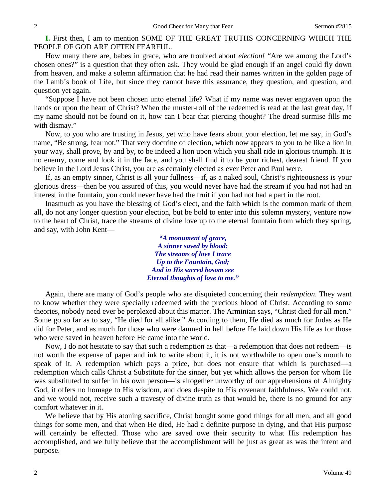**I.** First then, I am to mention SOME OF THE GREAT TRUTHS CONCERNING WHICH THE PEOPLE OF GOD ARE OFTEN FEARFUL.

How many there are, babes in grace, who are troubled about *election!* "Are we among the Lord's chosen ones?" is a question that they often ask. They would be glad enough if an angel could fly down from heaven, and make a solemn affirmation that he had read their names written in the golden page of the Lamb's book of Life, but since they cannot have this assurance, they question, and question, and question yet again.

"Suppose I have not been chosen unto eternal life? What if my name was never engraven upon the hands or upon the heart of Christ? When the muster-roll of the redeemed is read at the last great day, if my name should not be found on it, how can I bear that piercing thought? The dread surmise fills me with dismay."

Now, to you who are trusting in Jesus, yet who have fears about your election, let me say, in God's name, "Be strong, fear not." That very doctrine of election, which now appears to you to be like a lion in your way, shall prove, by and by, to be indeed a lion upon which you shall ride in glorious triumph. It is no enemy, come and look it in the face, and you shall find it to be your richest, dearest friend. If you believe in the Lord Jesus Christ, you are as certainly elected as ever Peter and Paul were.

If, as an empty sinner, Christ is all your fullness—if, as a naked soul, Christ's righteousness is your glorious dress—then be you assured of this, you would never have had the stream if you had not had an interest in the fountain, you could never have had the fruit if you had not had a part in the root.

Inasmuch as you have the blessing of God's elect, and the faith which is the common mark of them all, do not any longer question your election, but be bold to enter into this solemn mystery, venture now to the heart of Christ, trace the streams of divine love up to the eternal fountain from which they spring, and say, with John Kent—

> *"A monument of grace, A sinner saved by blood: The streams of love I trace Up to the Fountain, God; And in His sacred bosom see Eternal thoughts of love to me."*

Again, there are many of God's people who are disquieted concerning their *redemption*. They want to know whether they were specially redeemed with the precious blood of Christ. According to some theories, nobody need ever be perplexed about this matter. The Arminian says, "Christ died for all men." Some go so far as to say, "He died for all alike." According to them, He died as much for Judas as He did for Peter, and as much for those who were damned in hell before He laid down His life as for those who were saved in heaven before He came into the world.

Now, I do not hesitate to say that such a redemption as that—a redemption that does not redeem—is not worth the expense of paper and ink to write about it, it is not worthwhile to open one's mouth to speak of it. A redemption which pays a price, but does not ensure that which is purchased—a redemption which calls Christ a Substitute for the sinner, but yet which allows the person for whom He was substituted to suffer in his own person—is altogether unworthy of our apprehensions of Almighty God, it offers no homage to His wisdom, and does despite to His covenant faithfulness. We could not, and we would not, receive such a travesty of divine truth as that would be, there is no ground for any comfort whatever in it.

We believe that by His atoning sacrifice, Christ bought some good things for all men, and all good things for some men, and that when He died, He had a definite purpose in dying, and that His purpose will certainly be effected. Those who are saved owe their security to what His redemption has accomplished, and we fully believe that the accomplishment will be just as great as was the intent and purpose.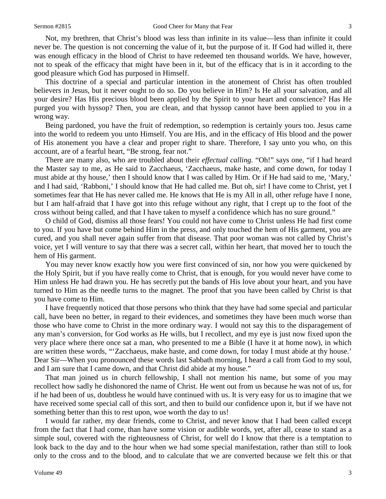Not, my brethren, that Christ's blood was less than infinite in its value—less than infinite it could never be. The question is not concerning the value of it, but the purpose of it. If God had willed it, there was enough efficacy in the blood of Christ to have redeemed ten thousand worlds. We have, however, not to speak of the efficacy that might have been in it, but of the efficacy that is in it according to the good pleasure which God has purposed in Himself.

This doctrine of a special and particular intention in the atonement of Christ has often troubled believers in Jesus, but it never ought to do so. Do you believe in Him? Is He all your salvation, and all your desire? Has His precious blood been applied by the Spirit to your heart and conscience? Has He purged you with hyssop? Then, you are clean, and that hyssop cannot have been applied to you in a wrong way.

Being pardoned, you have the fruit of redemption, so redemption is certainly yours too. Jesus came into the world to redeem you unto Himself. You are His, and in the efficacy of His blood and the power of His atonement you have a clear and proper right to share. Therefore, I say unto you who, on this account, are of a fearful heart, "Be strong, fear not."

There are many also, who are troubled about their *effectual calling.* "Oh!" says one, "if I had heard the Master say to me, as He said to Zacchaeus, 'Zacchaeus, make haste, and come down, for today I must abide at thy house,' then I should know that I was called by Him. Or if He had said to me, 'Mary,' and I had said, 'Rabboni,' I should know that He had called me. But oh, sir! I have come to Christ, yet I sometimes fear that He has never called me. He knows that He is my All in all, other refuge have I none, but I am half-afraid that I have got into this refuge without any right, that I crept up to the foot of the cross without being called, and that I have taken to myself a confidence which has no sure ground."

O child of God, dismiss all those fears! You could not have come to Christ unless He had first come to you. If you have but come behind Him in the press, and only touched the hem of His garment, you are cured, and you shall never again suffer from that disease. That poor woman was not called by Christ's voice, yet I will venture to say that there was a secret call, within her heart, that moved her to touch the hem of His garment.

You may never know exactly how you were first convinced of sin, nor how you were quickened by the Holy Spirit, but if you have really come to Christ, that is enough, for you would never have come to Him unless He had drawn you. He has secretly put the bands of His love about your heart, and you have turned to Him as the needle turns to the magnet. The proof that you have been called by Christ is that you have come to Him.

I have frequently noticed that those persons who think that they have had some special and particular call, have been no better, in regard to their evidences, and sometimes they have been much worse than those who have come to Christ in the more ordinary way. I would not say this to the disparagement of any man's conversion, for God works as He wills, but I recollect, and my eye is just now fixed upon the very place where there once sat a man, who presented to me a Bible (I have it at home now), in which are written these words, "'Zacchaeus, make haste, and come down, for today I must abide at thy house.' Dear Sir—When you pronounced these words last Sabbath morning, I heard a call from God to my soul, and I am sure that I came down, and that Christ did abide at my house."

That man joined us in church fellowship, I shall not mention his name, but some of you may recollect how sadly he dishonored the name of Christ. He went out from us because he was not of us, for if he had been of us, doubtless he would have continued with us. It is very easy for us to imagine that we have received some special call of this sort, and then to build our confidence upon it, but if we have not something better than this to rest upon, woe worth the day to us!

I would far rather, my dear friends, come to Christ, and never know that I had been called except from the fact that I had come, than have some vision or audible words, yet, after all, cease to stand as a simple soul, covered with the righteousness of Christ, for well do I know that there is a temptation to look back to the day and to the hour when we had some special manifestation, rather than still to look only to the cross and to the blood, and to calculate that we are converted because we felt this or that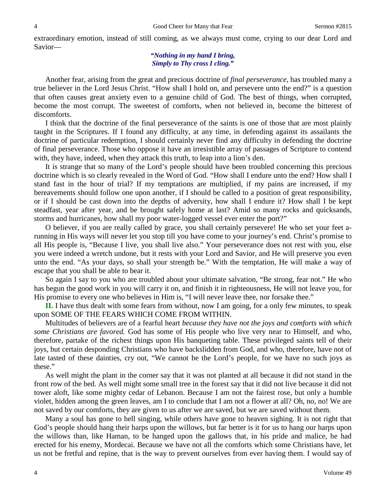extraordinary emotion, instead of still coming, as we always must come, crying to our dear Lord and Savior—

### *"Nothing in my hand I bring, Simply to Thy cross I cling."*

Another fear, arising from the great and precious doctrine of *final perseverance,* has troubled many a true believer in the Lord Jesus Christ. "How shall I hold on, and persevere unto the end?" is a question that often causes great anxiety even to a genuine child of God. The best of things, when corrupted, become the most corrupt. The sweetest of comforts, when not believed in, become the bitterest of discomforts.

I think that the doctrine of the final perseverance of the saints is one of those that are most plainly taught in the Scriptures. If I found any difficulty, at any time, in defending against its assailants the doctrine of particular redemption, I should certainly never find any difficulty in defending the doctrine of final perseverance. Those who oppose it have an irresistible array of passages of Scripture to contend with, they have, indeed, when they attack this truth, to leap into a lion's den.

It is strange that so many of the Lord's people should have been troubled concerning this precious doctrine which is so clearly revealed in the Word of God. "How shall I endure unto the end? How shall I stand fast in the hour of trial? If my temptations are multiplied, if my pains are increased, if my bereavements should follow one upon another, if I should be called to a position of great responsibility, or if I should be cast down into the depths of adversity, how shall I endure it? How shall I be kept steadfast, year after year, and be brought safely home at last? Amid so many rocks and quicksands, storms and hurricanes, how shall my poor water-logged vessel ever enter the port?"

O believer, if you are really called by grace, you shall certainly persevere! He who set your feet arunning in His ways will never let you stop till you have come to your journey's end. Christ's promise to all His people is, "Because I live, you shall live also." Your perseverance does not rest with you, else you were indeed a wretch undone, but it rests with your Lord and Savior, and He will preserve you even unto the end. "As your days, so shall your strength be." With the temptation, He will make a way of escape that you shall be able to bear it.

So again I say to you who are troubled about your ultimate salvation, "Be strong, fear not." He who has begun the good work in you will carry it on, and finish it in righteousness, He will not leave you, for His promise to every one who believes in Him is, "I will never leave thee, nor forsake thee."

**II.** I have thus dealt with some fears from without, now I am going, for a only few minutes, to speak upon SOME OF THE FEARS WHICH COME FROM WITHIN.

Multitudes of believers are of a fearful heart *because they have not the joys and comforts with which some Christians are favored.* God has some of His people who live very near to Himself, and who, therefore, partake of the richest things upon His banqueting table. These privileged saints tell of their joys, but certain desponding Christians who have backslidden from God, and who, therefore, have not of late tasted of these dainties, cry out, "We cannot be the Lord's people, for we have no such joys as these."

As well might the plant in the corner say that it was not planted at all because it did not stand in the front row of the bed. As well might some small tree in the forest say that it did not live because it did not tower aloft, like some mighty cedar of Lebanon. Because I am not the fairest rose, but only a humble violet, hidden among the green leaves, am I to conclude that I am not a flower at all? Oh, no, no! We are not saved by our comforts, they are given to us after we are saved, but we are saved without them.

Many a soul has gone to hell singing, while others have gone to heaven sighing. It is not right that God's people should hang their harps upon the willows, but far better is it for us to hang our harps upon the willows than, like Haman, to be hanged upon the gallows that, in his pride and malice, he had erected for his enemy, Mordecai. Because we have not all the comforts which some Christians have, let us not be fretful and repine, that is the way to prevent ourselves from ever having them. I would say of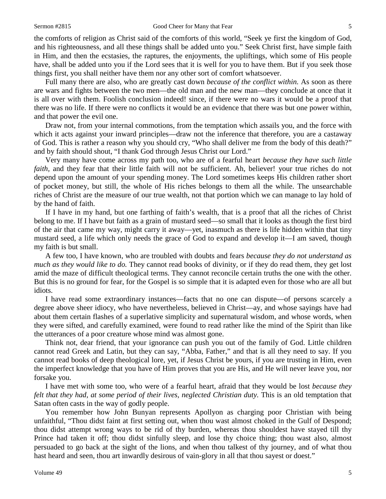the comforts of religion as Christ said of the comforts of this world, "Seek ye first the kingdom of God, and his righteousness, and all these things shall be added unto you." Seek Christ first, have simple faith in Him, and then the ecstasies, the raptures, the enjoyments, the upliftings, which some of His people have, shall be added unto you if the Lord sees that it is well for you to have them. But if you seek those things first, you shall neither have them nor any other sort of comfort whatsoever.

Full many there are also, who are greatly cast down *because of the conflict within.* As soon as there are wars and fights between the two men—the old man and the new man—they conclude at once that it is all over with them. Foolish conclusion indeed! since, if there were no wars it would be a proof that there was no life. If there were no conflicts it would be an evidence that there was but one power within, and that power the evil one.

Draw not, from your internal commotions, from the temptation which assails you, and the force with which it acts against your inward principles—draw not the inference that therefore, you are a castaway of God. This is rather a reason why you should cry, "Who shall deliver me from the body of this death?" and by faith should shout, "I thank God through Jesus Christ our Lord."

Very many have come across my path too, who are of a fearful heart *because they have such little faith*, and they fear that their little faith will not be sufficient. Ah, believer! your true riches do not depend upon the amount of your spending money. The Lord sometimes keeps His children rather short of pocket money, but still, the whole of His riches belongs to them all the while. The unsearchable riches of Christ are the measure of our true wealth, not that portion which we can manage to lay hold of by the hand of faith.

If I have in my hand, but one farthing of faith's wealth, that is a proof that all the riches of Christ belong to me. If I have but faith as a grain of mustard seed—so small that it looks as though the first bird of the air that came my way, might carry it away—yet, inasmuch as there is life hidden within that tiny mustard seed, a life which only needs the grace of God to expand and develop it—I am saved, though my faith is but small.

A few too, I have known, who are troubled with doubts and fears *because they do not understand as much as they would like to do.* They cannot read books of divinity, or if they do read them, they get lost amid the maze of difficult theological terms. They cannot reconcile certain truths the one with the other. But this is no ground for fear, for the Gospel is so simple that it is adapted even for those who are all but idiots.

I have read some extraordinary instances—facts that no one can dispute—of persons scarcely a degree above sheer idiocy, who have nevertheless, believed in Christ—ay, and whose sayings have had about them certain flashes of a superlative simplicity and supernatural wisdom, and whose words, when they were sifted, and carefully examined, were found to read rather like the mind of the Spirit than like the utterances of a poor creature whose mind was almost gone.

Think not, dear friend, that your ignorance can push you out of the family of God. Little children cannot read Greek and Latin, but they can say, "Abba, Father," and that is all they need to say. If you cannot read books of deep theological lore, yet, if Jesus Christ be yours, if you are trusting in Him, even the imperfect knowledge that you have of Him proves that you are His, and He will never leave you, nor forsake you.

I have met with some too, who were of a fearful heart, afraid that they would be lost *because they*  felt that they had, at some period of their lives, neglected Christian duty. This is an old temptation that Satan often casts in the way of godly people.

You remember how John Bunyan represents Apollyon as charging poor Christian with being unfaithful, "Thou didst faint at first setting out, when thou wast almost choked in the Gulf of Despond; thou didst attempt wrong ways to be rid of thy burden, whereas thou shouldest have stayed till thy Prince had taken it off; thou didst sinfully sleep, and lose thy choice thing; thou wast also, almost persuaded to go back at the sight of the lions, and when thou talkest of thy journey, and of what thou hast heard and seen, thou art inwardly desirous of vain-glory in all that thou sayest or doest."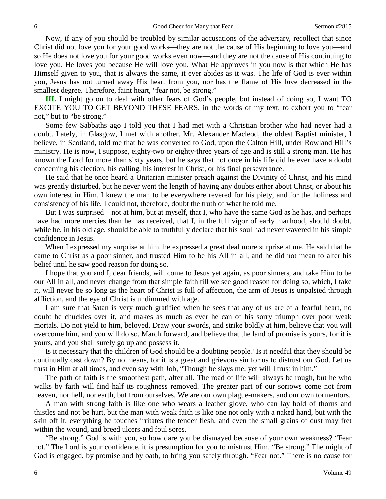Now, if any of you should be troubled by similar accusations of the adversary, recollect that since Christ did not love you for your good works—they are not the cause of His beginning to love you—and so He does not love you for your good works even now—and they are not the cause of His continuing to love you. He loves you because He will love you. What He approves in you now is that which He has Himself given to you, that is always the same, it ever abides as it was. The life of God is ever within you, Jesus has not turned away His heart from you, nor has the flame of His love decreased in the smallest degree. Therefore, faint heart, "fear not, be strong."

**III.** I might go on to deal with other fears of God's people, but instead of doing so, I want TO EXCITE YOU TO GET BEYOND THESE FEARS, in the words of my text, to exhort you to "fear not," but to "be strong."

Some few Sabbaths ago I told you that I had met with a Christian brother who had never had a doubt. Lately, in Glasgow, I met with another. Mr. Alexander Macleod, the oldest Baptist minister, I believe, in Scotland, told me that he was converted to God, upon the Calton Hill, under Rowland Hill's ministry. He is now, I suppose, eighty-two or eighty-three years of age and is still a strong man. He has known the Lord for more than sixty years, but he says that not once in his life did he ever have a doubt concerning his election, his calling, his interest in Christ, or his final perseverance.

He said that he once heard a Unitarian minister preach against the Divinity of Christ, and his mind was greatly disturbed, but he never went the length of having any doubts either about Christ, or about his own interest in Him. I knew the man to be everywhere revered for his piety, and for the holiness and consistency of his life, I could not, therefore, doubt the truth of what he told me.

But I was surprised—not at him, but at myself, that I, who have the same God as he has, and perhaps have had more mercies than he has received, that I, in the full vigor of early manhood, should doubt, while he, in his old age, should be able to truthfully declare that his soul had never wavered in his simple confidence in Jesus.

When I expressed my surprise at him, he expressed a great deal more surprise at me. He said that he came to Christ as a poor sinner, and trusted Him to be his All in all, and he did not mean to alter his belief until he saw good reason for doing so.

I hope that you and I, dear friends, will come to Jesus yet again, as poor sinners, and take Him to be our All in all, and never change from that simple faith till we see good reason for doing so, which, I take it, will never be so long as the heart of Christ is full of affection, the arm of Jesus is unpalsied through affliction, and the eye of Christ is undimmed with age.

I am sure that Satan is very much gratified when he sees that any of us are of a fearful heart, no doubt he chuckles over it, and makes as much as ever he can of his sorry triumph over poor weak mortals. Do not yield to him, beloved. Draw your swords, and strike boldly at him, believe that you will overcome him, and you will do so. March forward, and believe that the land of promise is yours, for it is yours, and you shall surely go up and possess it.

Is it necessary that the children of God should be a doubting people? Is it needful that they should be continually cast down? By no means, for it is a great and grievous sin for us to distrust our God. Let us trust in Him at all times, and even say with Job, "Though he slays me, yet will I trust in him."

The path of faith is the smoothest path, after all. The road of life will always be rough, but he who walks by faith will find half its roughness removed. The greater part of our sorrows come not from heaven, nor hell, nor earth, but from ourselves. We are our own plague-makers, and our own tormentors.

A man with strong faith is like one who wears a leather glove, who can lay hold of thorns and thistles and not be hurt, but the man with weak faith is like one not only with a naked hand, but with the skin off it, everything he touches irritates the tender flesh, and even the small grains of dust may fret within the wound, and breed ulcers and foul sores.

"Be strong." God is with you, so how dare you be dismayed because of your own weakness? "Fear not." The Lord is your confidence, it is presumption for you to mistrust Him. "Be strong." The might of God is engaged, by promise and by oath, to bring you safely through. "Fear not." There is no cause for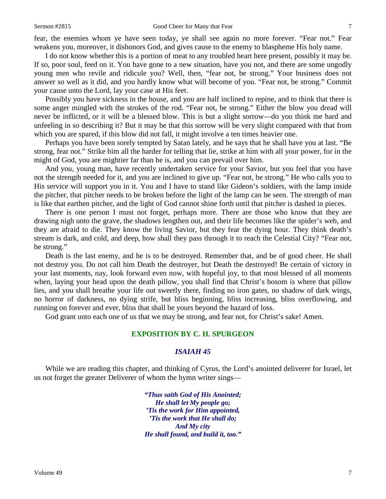fear, the enemies whom ye have seen today, ye shall see again no more forever. "Fear not." Fear weakens you, moreover, it dishonors God, and gives cause to the enemy to blaspheme His holy name.

I do not know whether this is a portion of meat to any troubled heart here present, possibly it may be. If so, poor soul, feed on it. You have gone to a new situation, have you not, and there are some ungodly young men who revile and ridicule you? Well, then, "fear not, be strong." Your business does not answer so well as it did, and you hardly know what will become of you. "Fear not, be strong." Commit your cause unto the Lord, lay your case at His feet.

Possibly you have sickness in the house, and you are half inclined to repine, and to think that there is some anger mingled with the strokes of the rod. "Fear not, be strong." Either the blow you dread will never be inflicted, or it will be a blessed blow. This is but a slight sorrow—do you think me hard and unfeeling in so describing it? But it may be that this sorrow will be very slight compared with that from which you are spared, if this blow did not fall, it might involve a ten times heavier one.

Perhaps you have been sorely tempted by Satan lately, and he says that he shall have you at last. "Be strong, fear not." Strike him all the harder for telling that lie, strike at him with all your power, for in the might of God, you are mightier far than he is, and you can prevail over him.

And you, young man, have recently undertaken service for your Savior, but you feel that you have not the strength needed for it, and you are inclined to give up. "Fear not, be strong." He who calls you to His service will support you in it. You and I have to stand like Gideon's soldiers, with the lamp inside the pitcher, that pitcher needs to be broken before the light of the lamp can be seen. The strength of man is like that earthen pitcher, and the light of God cannot shine forth until that pitcher is dashed in pieces.

There is one person I must not forget, perhaps more. There are those who know that they are drawing nigh unto the grave, the shadows lengthen out, and their life becomes like the spider's web, and they are afraid to die. They know the living Savior, but they fear the dying hour. They think death's stream is dark, and cold, and deep, how shall they pass through it to reach the Celestial City? "Fear not, be strong."

Death is the last enemy, and he is to be destroyed. Remember that, and be of good cheer. He shall not destroy you. Do not call him Death the destroyer, but Death the destroyed! Be certain of victory in your last moments, nay, look forward even now, with hopeful joy, to that most blessed of all moments when, laying your head upon the death pillow, you shall find that Christ's bosom is where that pillow lies, and you shall breathe your life out sweetly there, finding no iron gates, no shadow of dark wings, no horror of darkness, no dying strife, but bliss beginning, bliss increasing, bliss overflowing, and running on forever and ever, bliss that shall be yours beyond the hazard of loss.

God grant unto each one of us that we may be strong, and fear not, for Christ's sake! Amen.

## **EXPOSITION BY C. H. SPURGEON**

#### *ISAIAH 45*

While we are reading this chapter, and thinking of Cyrus, the Lord's anointed deliverer for Israel, let us not forget the greater Deliverer of whom the hymn writer sings—

> *"Thus saith God of His Anointed; He shall let My people go; 'Tis the work for Him appointed, 'Tis the work that He shall do; And My city He shall found, and build it, too."*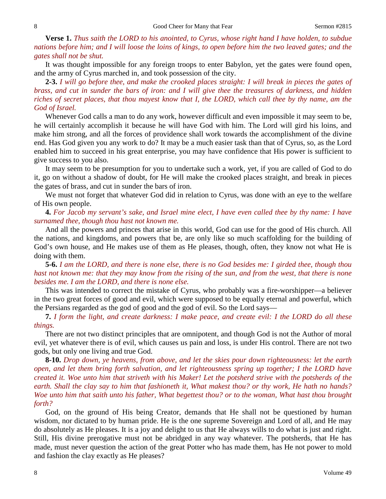**Verse 1.** *Thus saith the LORD to his anointed, to Cyrus, whose right hand I have holden, to subdue nations before him; and I will loose the loins of kings, to open before him the two leaved gates; and the gates shall not be shut.*

It was thought impossible for any foreign troops to enter Babylon, yet the gates were found open, and the army of Cyrus marched in, and took possession of the city.

**2-3.** *I will go before thee, and make the crooked places straight: I will break in pieces the gates of brass, and cut in sunder the bars of iron: and I will give thee the treasures of darkness, and hidden riches of secret places, that thou mayest know that I, the LORD, which call thee by thy name, am the God of Israel.*

Whenever God calls a man to do any work, however difficult and even impossible it may seem to be, he will certainly accomplish it because he will have God with him. The Lord will gird his loins, and make him strong, and all the forces of providence shall work towards the accomplishment of the divine end. Has God given you any work to do? It may be a much easier task than that of Cyrus, so, as the Lord enabled him to succeed in his great enterprise, you may have confidence that His power is sufficient to give success to you also.

It may seem to be presumption for you to undertake such a work, yet, if you are called of God to do it, go on without a shadow of doubt, for He will make the crooked places straight, and break in pieces the gates of brass, and cut in sunder the bars of iron.

We must not forget that whatever God did in relation to Cyrus, was done with an eye to the welfare of His own people.

**4.** *For Jacob my servant's sake, and Israel mine elect, I have even called thee by thy name: I have surnamed thee, though thou hast not known me.*

And all the powers and princes that arise in this world, God can use for the good of His church. All the nations, and kingdoms, and powers that be, are only like so much scaffolding for the building of God's own house, and He makes use of them as He pleases, though, often, they know not what He is doing with them.

**5-6.** *I am the LORD, and there is none else, there is no God besides me: I girded thee, though thou hast not known me: that they may know from the rising of the sun, and from the west, that there is none besides me. I am the LORD, and there is none else.*

This was intended to correct the mistake of Cyrus, who probably was a fire-worshipper—a believer in the two great forces of good and evil, which were supposed to be equally eternal and powerful, which the Persians regarded as the god of good and the god of evil. So the Lord says—

**7.** *I form the light, and create darkness: I make peace, and create evil: I the LORD do all these things.*

There are not two distinct principles that are omnipotent, and though God is not the Author of moral evil, yet whatever there is of evil, which causes us pain and loss, is under His control. There are not two gods, but only one living and true God.

**8-10.** *Drop down, ye heavens, from above, and let the skies pour down righteousness: let the earth open, and let them bring forth salvation, and let righteousness spring up together; I the LORD have created it. Woe unto him that striveth with his Maker! Let the potsherd strive with the potsherds of the earth. Shall the clay say to him that fashioneth it, What makest thou? or thy work, He hath no hands? Woe unto him that saith unto his father, What begettest thou? or to the woman, What hast thou brought forth?*

God, on the ground of His being Creator, demands that He shall not be questioned by human wisdom, nor dictated to by human pride. He is the one supreme Sovereign and Lord of all, and He may do absolutely as He pleases. It is a joy and delight to us that He always wills to do what is just and right. Still, His divine prerogative must not be abridged in any way whatever. The potsherds, that He has made, must never question the action of the great Potter who has made them, has He not power to mold and fashion the clay exactly as He pleases?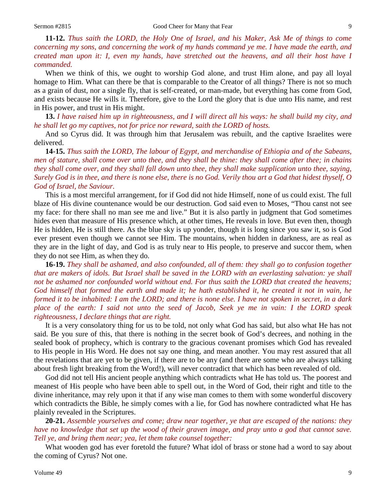**11-12.** *Thus saith the LORD, the Holy One of Israel, and his Maker, Ask Me of things to come concerning my sons, and concerning the work of my hands command ye me. I have made the earth, and created man upon it: I, even my hands, have stretched out the heavens, and all their host have I commanded.*

When we think of this, we ought to worship God alone, and trust Him alone, and pay all loyal homage to Him. What can there be that is comparable to the Creator of all things? There is not so much as a grain of dust, nor a single fly, that is self-created, or man-made, but everything has come from God, and exists because He wills it. Therefore, give to the Lord the glory that is due unto His name, and rest in His power, and trust in His might.

**13.** *I have raised him up in righteousness, and I will direct all his ways: he shall build my city, and he shall let go my captives, not for price nor reward, saith the LORD of hosts.*

And so Cyrus did. It was through him that Jerusalem was rebuilt, and the captive Israelites were delivered.

**14-15.** *Thus saith the LORD, The labour of Egypt, and merchandise of Ethiopia and of the Sabeans, men of stature, shall come over unto thee, and they shall be thine: they shall come after thee; in chains they shall come over, and they shall fall down unto thee, they shall make supplication unto thee, saying, Surely God is in thee, and there is none else, there is no God. Verily thou art a God that hidest thyself, O God of Israel, the Saviour.*

This is a most merciful arrangement, for if God did not hide Himself, none of us could exist. The full blaze of His divine countenance would be our destruction. God said even to Moses, "Thou canst not see my face: for there shall no man see me and live." But it is also partly in judgment that God sometimes hides even that measure of His presence which, at other times, He reveals in love. But even then, though He is hidden, He is still there. As the blue sky is up yonder, though it is long since you saw it, so is God ever present even though we cannot see Him. The mountains, when hidden in darkness, are as real as they are in the light of day, and God is as truly near to His people, to preserve and succor them, when they do not see Him, as when they do.

**16-19.** *They shall be ashamed, and also confounded, all of them: they shall go to confusion together that are makers of idols. But Israel shall be saved in the LORD with an everlasting salvation: ye shall not be ashamed nor confounded world without end. For thus saith the LORD that created the heavens; God himself that formed the earth and made it; he hath established it, he created it not in vain, he formed it to be inhabited: I am the LORD; and there is none else. I have not spoken in secret, in a dark place of the earth: I said not unto the seed of Jacob, Seek ye me in vain: I the LORD speak righteousness, I declare things that are right.*

It is a very consolatory thing for us to be told, not only what God has said, but also what He has not said. Be you sure of this, that there is nothing in the secret book of God's decrees, and nothing in the sealed book of prophecy, which is contrary to the gracious covenant promises which God has revealed to His people in His Word. He does not say one thing, and mean another. You may rest assured that all the revelations that are yet to be given, if there are to be any (and there are some who are always talking about fresh light breaking from the Word!), will never contradict that which has been revealed of old.

God did not tell His ancient people anything which contradicts what He has told us. The poorest and meanest of His people who have been able to spell out, in the Word of God, their right and title to the divine inheritance, may rely upon it that if any wise man comes to them with some wonderful discovery which contradicts the Bible, he simply comes with a lie, for God has nowhere contradicted what He has plainly revealed in the Scriptures.

**20-21.** *Assemble yourselves and come; draw near together, ye that are escaped of the nations: they have no knowledge that set up the wood of their graven image, and pray unto a god that cannot save. Tell ye, and bring them near; yea, let them take counsel together:*

What wooden god has ever foretold the future? What idol of brass or stone had a word to say about the coming of Cyrus? Not one.